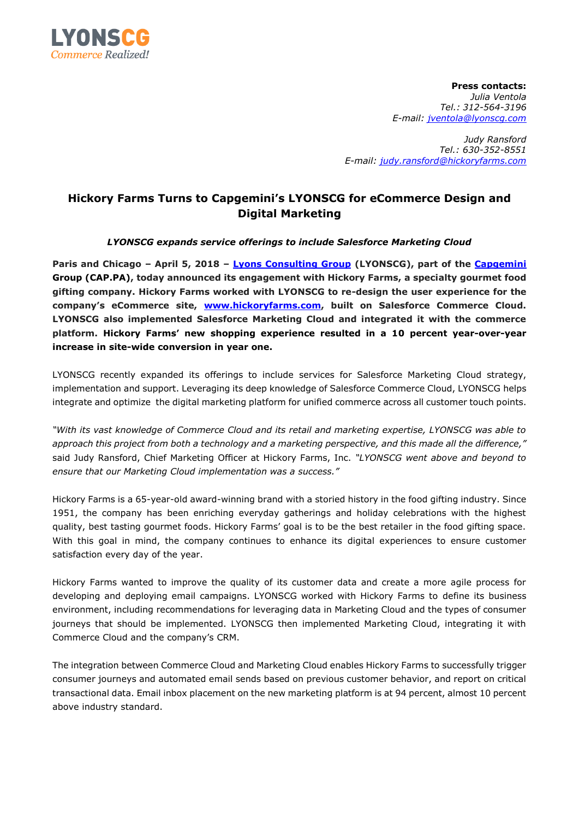

**Press contacts:**  *Julia Ventola Tel.: 312-564-3196 E-mail: [jventola@lyonscg.com](mailto:jventola@lyonscg.com)*

*Judy Ransford Tel.: 630-352-8551 E-mail: [judy.ransford@hickoryfarms.com](mailto:judy.ransford@hickoryfarms.com)*

## **Hickory Farms Turns to Capgemini's LYONSCG for eCommerce Design and Digital Marketing**

## *LYONSCG expands service offerings to include Salesforce Marketing Cloud*

**Paris and Chicago – April 5, 2018 – [Lyons Consulting Group](https://www.lyonscg.com/) (LYONSCG), part of the [Capgemini](https://www.capgemini.com/) Group (CAP.PA), today announced its engagement with Hickory Farms, a specialty gourmet food gifting company. Hickory Farms worked with LYONSCG to re-design the user experience for the company's eCommerce site, [www.hickoryfarms.com,](http://www.hickoryfarms.com/) built on Salesforce Commerce Cloud. LYONSCG also implemented Salesforce Marketing Cloud and integrated it with the commerce platform. Hickory Farms' new shopping experience resulted in a 10 percent year-over-year increase in site-wide conversion in year one.**

LYONSCG recently expanded its offerings to include services for Salesforce Marketing Cloud strategy, implementation and support. Leveraging its deep knowledge of Salesforce Commerce Cloud, LYONSCG helps integrate and optimize the digital marketing platform for unified commerce across all customer touch points.

*"With its vast knowledge of Commerce Cloud and its retail and marketing expertise, LYONSCG was able to approach this project from both a technology and a marketing perspective, and this made all the difference,"* said Judy Ransford, Chief Marketing Officer at Hickory Farms, Inc. *"LYONSCG went above and beyond to ensure that our Marketing Cloud implementation was a success."* 

Hickory Farms is a 65-year-old award-winning brand with a storied history in the food gifting industry. Since 1951, the company has been enriching everyday gatherings and holiday celebrations with the highest quality, best tasting gourmet foods. Hickory Farms' goal is to be the best retailer in the food gifting space. With this goal in mind, the company continues to enhance its digital experiences to ensure customer satisfaction every day of the year.

Hickory Farms wanted to improve the quality of its customer data and create a more agile process for developing and deploying email campaigns. LYONSCG worked with Hickory Farms to define its business environment, including recommendations for leveraging data in Marketing Cloud and the types of consumer journeys that should be implemented. LYONSCG then implemented Marketing Cloud, integrating it with Commerce Cloud and the company's CRM.

The integration between Commerce Cloud and Marketing Cloud enables Hickory Farms to successfully trigger consumer journeys and automated email sends based on previous customer behavior, and report on critical transactional data. Email inbox placement on the new marketing platform is at 94 percent, almost 10 percent above industry standard.